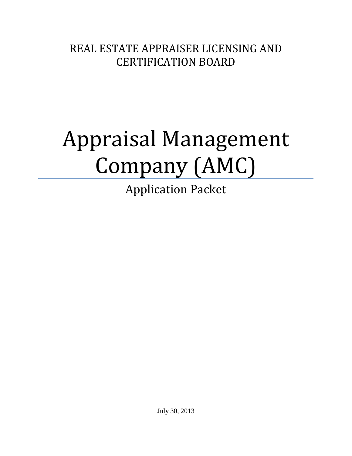REAL ESTATE APPRAISER LICENSING AND CERTIFICATION BOARD

# Appraisal Management Company (AMC)

Application Packet

July 30, 2013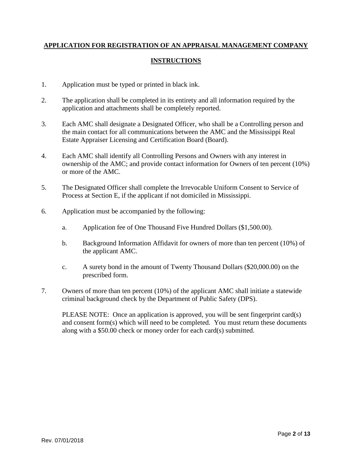#### **APPLICATION FOR REGISTRATION OF AN APPRAISAL MANAGEMENT COMPANY**

#### **INSTRUCTIONS**

- 1. Application must be typed or printed in black ink.
- 2. The application shall be completed in its entirety and all information required by the application and attachments shall be completely reported.
- 3. Each AMC shall designate a Designated Officer, who shall be a Controlling person and the main contact for all communications between the AMC and the Mississippi Real Estate Appraiser Licensing and Certification Board (Board).
- 4. Each AMC shall identify all Controlling Persons and Owners with any interest in ownership of the AMC; and provide contact information for Owners of ten percent (10%) or more of the AMC.
- 5. The Designated Officer shall complete the Irrevocable Uniform Consent to Service of Process at Section E, if the applicant if not domiciled in Mississippi.
- 6. Application must be accompanied by the following:
	- a. Application fee of One Thousand Five Hundred Dollars (\$1,500.00).
	- b. Background Information Affidavit for owners of more than ten percent (10%) of the applicant AMC.
	- c. A surety bond in the amount of Twenty Thousand Dollars (\$20,000.00) on the prescribed form.
- 7. Owners of more than ten percent (10%) of the applicant AMC shall initiate a statewide criminal background check by the Department of Public Safety (DPS).

PLEASE NOTE: Once an application is approved, you will be sent fingerprint card(s) and consent form(s) which will need to be completed. You must return these documents along with a \$50.00 check or money order for each card(s) submitted.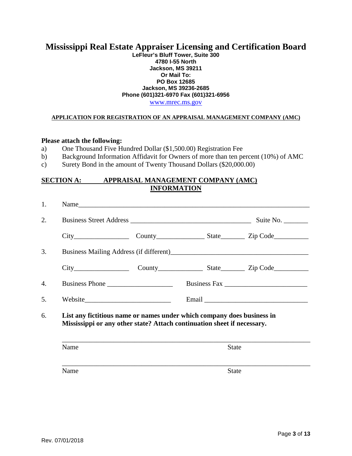## **Mississippi Real Estate Appraiser Licensing and Certification Board**

#### **LeFleur's Bluff Tower, Suite 300 4780 I-55 North Jackson, MS 39211 Or Mail To: PO Box 12685 Jackson, MS 39236-2685 Phone (601)321-6970 Fax (601)321-6956**

[www.mrec.ms.gov](http://www.mrec.ms.gov/)

#### **APPLICATION FOR REGISTRATION OF AN APPRAISAL MANAGEMENT COMPANY (AMC)**

#### **Please attach the following:**

- a) One Thousand Five Hundred Dollar (\$1,500.00) Registration Fee
- b) Background Information Affidavit for Owners of more than ten percent (10%) of AMC
- c) Surety Bond in the amount of Twenty Thousand Dollars (\$20,000.00)

#### **SECTION A: APPRAISAL MANAGEMENT COMPANY (AMC) INFORMATION**

| 1. | Name                                                                                                                                              |  |                           |
|----|---------------------------------------------------------------------------------------------------------------------------------------------------|--|---------------------------|
| 2. | Business Street Address                                                                                                                           |  | Suite No. $\qquad \qquad$ |
|    |                                                                                                                                                   |  |                           |
| 3. |                                                                                                                                                   |  |                           |
|    |                                                                                                                                                   |  |                           |
| 4. |                                                                                                                                                   |  |                           |
| 5. |                                                                                                                                                   |  |                           |
| 6. | List any fictitious name or names under which company does business in<br>Mississippi or any other state? Attach continuation sheet if necessary. |  |                           |
|    | Name                                                                                                                                              |  | <b>State</b>              |
|    | Name                                                                                                                                              |  | <b>State</b>              |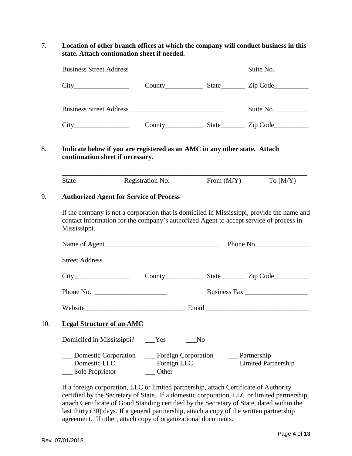7. **Location of other branch offices at which the company will conduct business in this state. Attach continuation sheet if needed.** 

|                           |                                  |                                                                           |                | Suite No.                                                                                                                                                                                                                      |
|---------------------------|----------------------------------|---------------------------------------------------------------------------|----------------|--------------------------------------------------------------------------------------------------------------------------------------------------------------------------------------------------------------------------------|
|                           |                                  |                                                                           |                |                                                                                                                                                                                                                                |
|                           |                                  |                                                                           |                | Suite No.                                                                                                                                                                                                                      |
|                           |                                  |                                                                           |                |                                                                                                                                                                                                                                |
|                           | continuation sheet if necessary. | Indicate below if you are registered as an AMC in any other state. Attach |                |                                                                                                                                                                                                                                |
| <b>State</b>              |                                  | Registration No.                                                          | From $(M/Y)$   | To $(M/Y)$                                                                                                                                                                                                                     |
|                           |                                  |                                                                           |                |                                                                                                                                                                                                                                |
|                           |                                  |                                                                           |                |                                                                                                                                                                                                                                |
| Mississippi.              |                                  |                                                                           |                | If the company is not a corporation that is domiciled in Mississippi, provide the name and<br>contact information for the company's authorized Agent to accept service of process in                                           |
|                           |                                  |                                                                           |                |                                                                                                                                                                                                                                |
|                           |                                  |                                                                           |                |                                                                                                                                                                                                                                |
|                           |                                  |                                                                           |                | County State Zip Code                                                                                                                                                                                                          |
|                           |                                  |                                                                           |                | Business Fax                                                                                                                                                                                                                   |
|                           |                                  |                                                                           |                | Website Email Email Email Communication of the Contract of the Contract of the Contract of the Contract of the Contract of the Contract of the Contract of the Contract of the Contract of the Contract of the Contract of the |
|                           | <b>Legal Structure of an AMC</b> |                                                                           |                |                                                                                                                                                                                                                                |
| Domiciled in Mississippi? |                                  | <b>Yes</b>                                                                | N <sub>o</sub> |                                                                                                                                                                                                                                |

If a foreign corporation, LLC or limited partnership, attach Certificate of Authority certified by the Secretary of State. If a domestic corporation, LLC or limited partnership, attach Certificate of Good Standing certified by the Secretary of State, dated within the last thirty (30) days. If a general partnership, attach a copy of the written partnership agreement. If other, attach copy of organizational documents.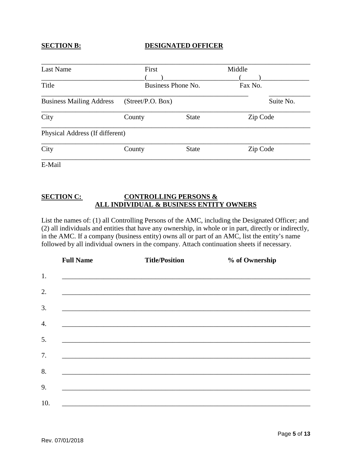#### **SECTION B: DESIGNATED OFFICER**

| First<br>Business Phone No.<br>(Street/P.O. Box) |                                 | Middle<br>Fax No.<br>Suite No. |  |        |              |          |  |
|--------------------------------------------------|---------------------------------|--------------------------------|--|--------|--------------|----------|--|
|                                                  |                                 |                                |  | County | <b>State</b> | Zip Code |  |
|                                                  |                                 |                                |  |        |              |          |  |
| County                                           | <b>State</b>                    | Zip Code                       |  |        |              |          |  |
|                                                  | Physical Address (If different) |                                |  |        |              |          |  |

E-Mail

#### **SECTION C: CONTROLLING PERSONS & ALL INDIVIDUAL & BUSINESS ENTITY OWNERS**

List the names of: (1) all Controlling Persons of the AMC, including the Designated Officer; and (2) all individuals and entities that have any ownership, in whole or in part, directly or indirectly, in the AMC. If a company (business entity) owns all or part of an AMC, list the entity's name followed by all individual owners in the company. Attach continuation sheets if necessary.

|                  | <b>Full Name</b> | <b>Title/Position</b>                                                                                                 | % of Ownership |
|------------------|------------------|-----------------------------------------------------------------------------------------------------------------------|----------------|
| 1.               |                  | ,我们也不能在这里的时候,我们也不能在这里的时候,我们也不能在这里的时候,我们也不能会在这里的时候,我们也不能会在这里的时候,我们也不能会在这里的时候,我们也不                                      |                |
| 2.               |                  | <u> 1989 - Johann Harry Harry Harry Harry Harry Harry Harry Harry Harry Harry Harry Harry Harry Harry Harry Harry</u> |                |
| 3.               |                  | <u> 1989 - Johann John Harry Harry Harry Harry Harry Harry Harry Harry Harry Harry Harry Harry Harry Harry Harry</u>  |                |
| $\overline{4}$ . |                  | <u> 1989 - Jan Barat, margaret amerikan bahasa dalam berasal dalam berasal dalam berasal dalam berasal dalam bera</u> |                |
| 5.               |                  |                                                                                                                       |                |
| 7.               |                  |                                                                                                                       |                |
| 8.               |                  |                                                                                                                       |                |
| 9.               |                  |                                                                                                                       |                |
| 10.              |                  | <u> 1989 - John Stoff, deutscher Stoff, der Stoff, der Stoff, der Stoff, der Stoff, der Stoff, der Stoff, der Sto</u> |                |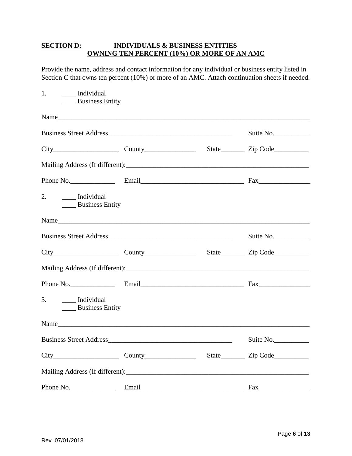#### **SECTION D: INDIVIDUALS & BUSINESS ENTITIES OWNING TEN PERCENT (10%) OR MORE OF AN AMC**

Provide the name, address and contact information for any individual or business entity listed in Section C that owns ten percent (10%) or more of an AMC. Attach continuation sheets if needed.

| 1.<br>___ Individual<br><b>Example 3</b> Business Entity |  |           |
|----------------------------------------------------------|--|-----------|
|                                                          |  |           |
|                                                          |  | Suite No. |
| $City$ $Country$                                         |  |           |
|                                                          |  |           |
|                                                          |  |           |
| 2.<br>Individual<br><b>Example 3</b> Business Entity     |  |           |
|                                                          |  |           |
|                                                          |  | Suite No. |
|                                                          |  |           |
|                                                          |  |           |
|                                                          |  |           |
| 3.<br>___ Individual<br><b>Example 3</b> Business Entity |  |           |
|                                                          |  |           |
|                                                          |  | Suite No. |
| $City$ $Country$                                         |  |           |
|                                                          |  |           |
| Phone No.                                                |  | Fax       |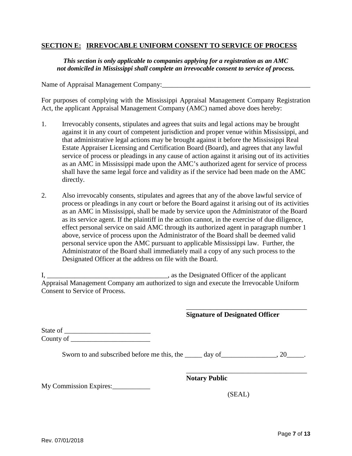#### **SECTION E:****IRREVOCABLE UNIFORM CONSENT TO SERVICE OF PROCESS**

*This section is only applicable to companies applying for a registration as an AMC not domiciled in Mississippi shall complete an irrevocable consent to service of process.*

Name of Appraisal Management Company:

For purposes of complying with the Mississippi Appraisal Management Company Registration Act, the applicant Appraisal Management Company (AMC) named above does hereby:

- 1. Irrevocably consents, stipulates and agrees that suits and legal actions may be brought against it in any court of competent jurisdiction and proper venue within Mississippi, and that administrative legal actions may be brought against it before the Mississippi Real Estate Appraiser Licensing and Certification Board (Board), and agrees that any lawful service of process or pleadings in any cause of action against it arising out of its activities as an AMC in Mississippi made upon the AMC's authorized agent for service of process shall have the same legal force and validity as if the service had been made on the AMC directly.
- 2. Also irrevocably consents, stipulates and agrees that any of the above lawful service of process or pleadings in any court or before the Board against it arising out of its activities as an AMC in Mississippi, shall be made by service upon the Administrator of the Board as its service agent. If the plaintiff in the action cannot, in the exercise of due diligence, effect personal service on said AMC through its authorized agent in paragraph number 1 above, service of process upon the Administrator of the Board shall be deemed valid personal service upon the AMC pursuant to applicable Mississippi law. Further, the Administrator of the Board shall immediately mail a copy of any such process to the Designated Officer at the address on file with the Board.

I, \_\_\_\_\_\_\_\_\_\_\_\_\_\_\_\_\_\_\_\_\_\_\_\_\_\_\_\_\_\_\_\_\_\_, as the Designated Officer of the applicant Appraisal Management Company am authorized to sign and execute the Irrevocable Uniform Consent to Service of Process.

#### **Signature of Designated Officer**

\_\_\_\_\_\_\_\_\_\_\_\_\_\_\_\_\_\_\_\_\_\_\_\_\_\_\_\_\_\_\_\_\_\_\_

| State of  |  |
|-----------|--|
| County of |  |

Sworn to and subscribed before me this, the \_\_\_\_\_ day of \_\_\_\_\_\_\_\_\_\_\_\_\_, 20\_\_\_\_\_.

**Notary Public**

My Commission Expires:\_\_\_\_\_\_\_\_\_\_\_

(SEAL)

\_\_\_\_\_\_\_\_\_\_\_\_\_\_\_\_\_\_\_\_\_\_\_\_\_\_\_\_\_\_\_\_\_\_\_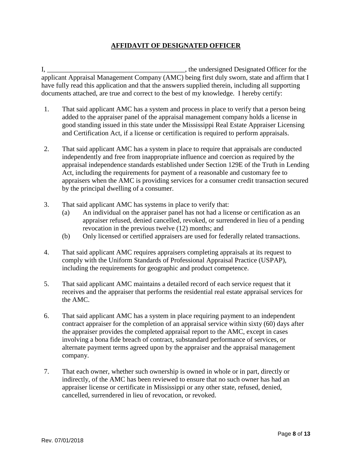### **AFFIDAVIT OF DESIGNATED OFFICER**

I, \_\_\_\_\_\_\_\_\_\_\_\_\_\_\_\_\_\_\_\_\_\_\_\_\_\_\_\_\_\_\_\_\_\_\_\_\_\_\_\_, the undersigned Designated Officer for the applicant Appraisal Management Company (AMC) being first duly sworn, state and affirm that I have fully read this application and that the answers supplied therein, including all supporting documents attached, are true and correct to the best of my knowledge. I hereby certify:

- 1. That said applicant AMC has a system and process in place to verify that a person being added to the appraiser panel of the appraisal management company holds a license in good standing issued in this state under the Mississippi Real Estate Appraiser Licensing and Certification Act, if a license or certification is required to perform appraisals.
- 2. That said applicant AMC has a system in place to require that appraisals are conducted independently and free from inappropriate influence and coercion as required by the appraisal independence standards established under Section 129E of the Truth in Lending Act, including the requirements for payment of a reasonable and customary fee to appraisers when the AMC is providing services for a consumer credit transaction secured by the principal dwelling of a consumer.
- 3. That said applicant AMC has systems in place to verify that:
	- (a) An individual on the appraiser panel has not had a license or certification as an appraiser refused, denied cancelled, revoked, or surrendered in lieu of a pending revocation in the previous twelve (12) months; and
	- (b) Only licensed or certified appraisers are used for federally related transactions.
- 4. That said applicant AMC requires appraisers completing appraisals at its request to comply with the Uniform Standards of Professional Appraisal Practice (USPAP), including the requirements for geographic and product competence.
- 5. That said applicant AMC maintains a detailed record of each service request that it receives and the appraiser that performs the residential real estate appraisal services for the AMC.
- 6. That said applicant AMC has a system in place requiring payment to an independent contract appraiser for the completion of an appraisal service within sixty (60) days after the appraiser provides the completed appraisal report to the AMC, except in cases involving a bona fide breach of contract, substandard performance of services, or alternate payment terms agreed upon by the appraiser and the appraisal management company.
- 7. That each owner, whether such ownership is owned in whole or in part, directly or indirectly, of the AMC has been reviewed to ensure that no such owner has had an appraiser license or certificate in Mississippi or any other state, refused, denied, cancelled, surrendered in lieu of revocation, or revoked.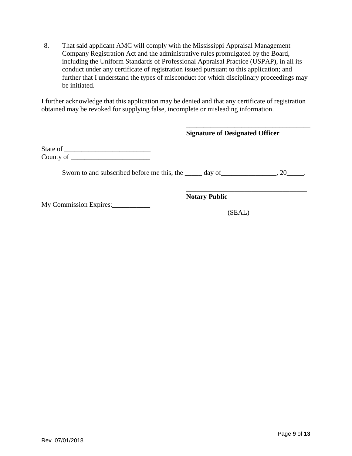8. That said applicant AMC will comply with the Mississippi Appraisal Management Company Registration Act and the administrative rules promulgated by the Board, including the Uniform Standards of Professional Appraisal Practice (USPAP), in all its conduct under any certificate of registration issued pursuant to this application; and further that I understand the types of misconduct for which disciplinary proceedings may be initiated.

I further acknowledge that this application may be denied and that any certificate of registration obtained may be revoked for supplying false, incomplete or misleading information.

|                                                                                        | <b>Signature of Designated Officer</b> |  |
|----------------------------------------------------------------------------------------|----------------------------------------|--|
| County of                                                                              |                                        |  |
| Sworn to and subscribed before me this, the $\qquad \qquad$ day of $\qquad \qquad .20$ |                                        |  |
|                                                                                        | <b>Notary Public</b>                   |  |
| My Commission Expires:                                                                 | (SEAL)                                 |  |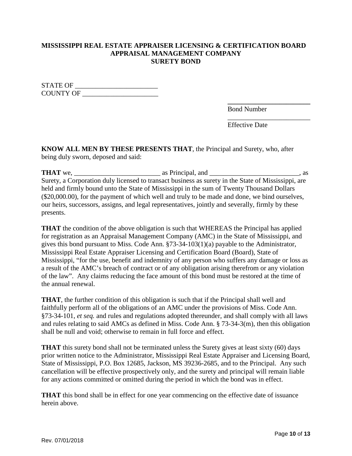#### **MISSISSIPPI REAL ESTATE APPRAISER LICENSING & CERTIFICATION BOARD APPRAISAL MANAGEMENT COMPANY SURETY BOND**

STATE OF \_\_\_\_\_\_\_\_\_\_\_\_\_\_\_\_\_\_\_\_\_\_\_\_ COUNTY OF \_\_\_\_\_\_\_\_\_\_\_\_\_\_\_\_\_\_\_\_\_\_

> **\_\_\_\_\_\_\_\_\_\_\_\_\_\_\_\_\_\_\_\_\_\_\_\_** Bond Number

Effective Date

\_\_\_\_\_\_\_\_\_\_\_\_\_\_\_\_\_\_\_\_\_\_\_\_

**KNOW ALL MEN BY THESE PRESENTS THAT**, the Principal and Surety, who, after being duly sworn, deposed and said:

**THAT** we, \_\_\_\_\_\_\_\_\_\_\_\_\_\_\_\_\_\_\_\_\_\_\_\_\_ as Principal, and \_\_\_\_\_\_\_\_\_\_\_\_\_\_\_\_\_\_\_\_\_\_\_\_\_\_, as Surety, a Corporation duly licensed to transact business as surety in the State of Mississippi, are held and firmly bound unto the State of Mississippi in the sum of Twenty Thousand Dollars (\$20,000.00), for the payment of which well and truly to be made and done, we bind ourselves, our heirs, successors, assigns, and legal representatives, jointly and severally, firmly by these presents.

**THAT** the condition of the above obligation is such that WHEREAS the Principal has applied for registration as an Appraisal Management Company (AMC) in the State of Mississippi, and gives this bond pursuant to Miss. Code Ann. §73-34-103(1)(a) payable to the Administrator, Mississippi Real Estate Appraiser Licensing and Certification Board (Board), State of Mississippi, "for the use, benefit and indemnity of any person who suffers any damage or loss as a result of the AMC's breach of contract or of any obligation arising therefrom or any violation of the law". Any claims reducing the face amount of this bond must be restored at the time of the annual renewal.

**THAT**, the further condition of this obligation is such that if the Principal shall well and faithfully perform all of the obligations of an AMC under the provisions of Miss. Code Ann. §73-34-101, *et seq.* and rules and regulations adopted thereunder, and shall comply with all laws and rules relating to said AMCs as defined in Miss. Code Ann. § 73-34-3(m), then this obligation shall be null and void; otherwise to remain in full force and effect.

**THAT** this surety bond shall not be terminated unless the Surety gives at least sixty (60) days prior written notice to the Administrator, Mississippi Real Estate Appraiser and Licensing Board, State of Mississippi, P.O. Box 12685, Jackson, MS 39236-2685, and to the Principal. Any such cancellation will be effective prospectively only, and the surety and principal will remain liable for any actions committed or omitted during the period in which the bond was in effect.

**THAT** this bond shall be in effect for one year commencing on the effective date of issuance herein above.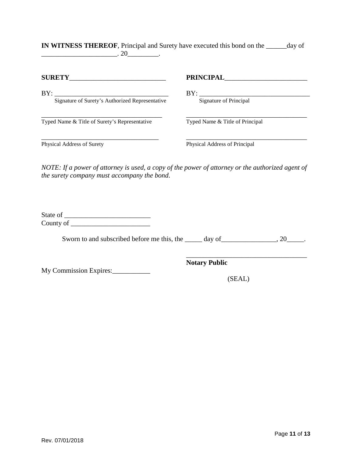| .20                                                    |                                 |
|--------------------------------------------------------|---------------------------------|
|                                                        | PRINCIPAL                       |
| BY:<br>Signature of Surety's Authorized Representative | BY:<br>Signature of Principal   |
| Typed Name & Title of Surety's Representative          | Typed Name & Title of Principal |
| Physical Address of Surety                             | Physical Address of Principal   |

**IN WITNESS THEREOF**, Principal and Surety have executed this bond on the \_\_\_\_\_\_day of

*NOTE: If a power of attorney is used, a copy of the power of attorney or the authorized agent of the surety company must accompany the bond*.

| State of  |  |
|-----------|--|
| County of |  |

Sworn to and subscribed before me this, the \_\_\_\_\_ day of \_\_\_\_\_\_\_\_\_\_\_\_\_\_, 20\_\_\_\_\_.

My Commission Expires:\_\_\_\_\_\_\_\_\_\_\_

\_\_\_\_\_\_\_\_\_\_\_\_\_\_\_\_\_\_\_\_\_\_\_\_\_\_\_\_\_\_\_\_\_\_\_ **Notary Public**

(SEAL)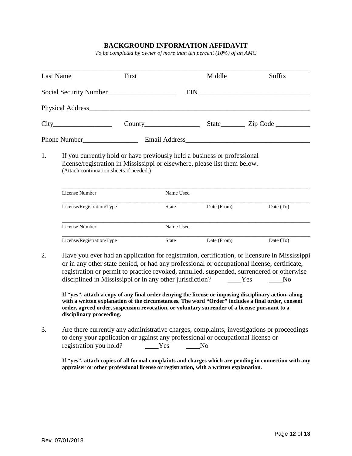#### **BACKGROUND INFORMATION AFFIDAVIT**

*To be completed by owner of more than ten percent (10%) of an AMC*

| <b>Last Name</b>          | First                                                                                                                                                                                            |           | Middle      | Suffix      |
|---------------------------|--------------------------------------------------------------------------------------------------------------------------------------------------------------------------------------------------|-----------|-------------|-------------|
|                           |                                                                                                                                                                                                  |           |             |             |
|                           |                                                                                                                                                                                                  |           |             |             |
|                           |                                                                                                                                                                                                  |           |             |             |
|                           |                                                                                                                                                                                                  |           |             |             |
|                           |                                                                                                                                                                                                  |           |             |             |
| License Number            | If you currently hold or have previously held a business or professional<br>license/registration in Mississippi or elsewhere, please list them below.<br>(Attach continuation sheets if needed.) | Name Used |             |             |
| License/Registration/Type |                                                                                                                                                                                                  | State     | Date (From) | Date $(TO)$ |
| 1.<br>License Number      |                                                                                                                                                                                                  | Name Used |             |             |

registration or permit to practice revoked, annulled, suspended, surrendered or otherwise<br>disciplined in Mississippi or in any other jurisdiction?<br>Yes No disciplined in Mississippi or in any other jurisdiction? Yes No

**If "yes", attach a copy of any final order denying the license or imposing disciplinary action, along with a written explanation of the circumstances. The word "Order" includes a final order, consent order, agreed order, suspension revocation, or voluntary surrender of a license pursuant to a disciplinary proceeding.**

3. Are there currently any administrative charges, complaints, investigations or proceedings to deny your application or against any professional or occupational license or registration you hold? \_\_\_\_\_Yes No

**If "yes", attach copies of all formal complaints and charges which are pending in connection with any appraiser or other professional license or registration, with a written explanation.**